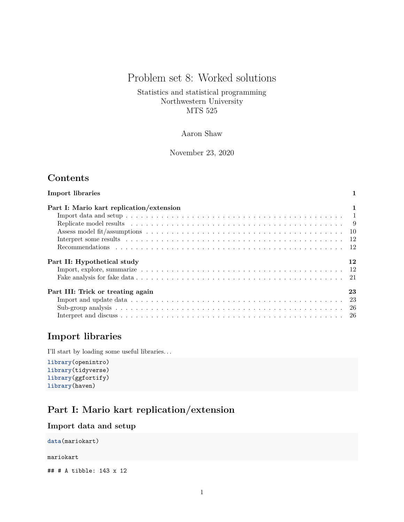# Problem set 8: Worked solutions

Statistics and statistical programming Northwestern University MTS 525

## Aaron Shaw

November 23, 2020

## **Contents**

| <b>Import libraries</b>                  |    |
|------------------------------------------|----|
| Part I: Mario kart replication/extension | 1  |
|                                          |    |
|                                          |    |
|                                          |    |
|                                          |    |
|                                          |    |
| Part II: Hypothetical study              | 12 |
|                                          |    |
|                                          |    |
| Part III: Trick or treating again        | 23 |
|                                          |    |
|                                          |    |
|                                          |    |

## <span id="page-0-0"></span>**Import libraries**

I'll start by loading some useful libraries. . .

**library**(openintro) **library**(tidyverse) **library**(ggfortify) **library**(haven)

## <span id="page-0-1"></span>**Part I: Mario kart replication/extension**

### <span id="page-0-2"></span>**Import data and setup**

**data**(mariokart)

mariokart

## # A tibble: 143 x 12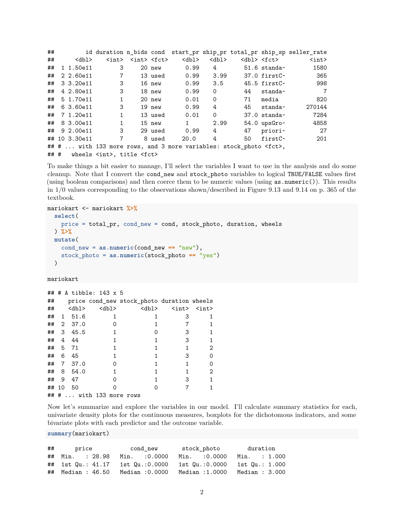| ## |                |                                            |                                                                                        |          |                                                                          |             |                         |                         | id duration n_bids cond start_pr ship_pr total_pr ship_sp seller_rate |
|----|----------------|--------------------------------------------|----------------------------------------------------------------------------------------|----------|--------------------------------------------------------------------------|-------------|-------------------------|-------------------------|-----------------------------------------------------------------------|
| ## | <dbl></dbl>    |                                            | $\langle \text{int} \rangle$ $\langle \text{int} \rangle$ $\langle \text{fct} \rangle$ |          | <dbl></dbl>                                                              | <dbl></dbl> |                         | <dbl> <fct></fct></dbl> | $\langle \text{int} \rangle$                                          |
|    | ## 1 1.50e11   | 3                                          |                                                                                        | 20 new   | 0.99                                                                     | $4\degree$  |                         | $51.6$ standa~          | 1580                                                                  |
|    | ## 2 2.60e11   | $7\phantom{.}$                             |                                                                                        | 13 used  | 0.99                                                                     |             | $3.99$ $37.0$ first $c$ |                         | 365                                                                   |
|    | ## 3 3.20e11   | 3                                          |                                                                                        | 16 new   | 0.99                                                                     | 3.5         |                         | 45.5 firstC~            | 998                                                                   |
|    | ## 4 2.80e11   | 3                                          |                                                                                        | 18 new   | 0.99                                                                     | $\Omega$    | 44                      | standa~                 | $\overline{7}$                                                        |
|    | ## 5 1.70e11   | $\mathbf{1}$                               |                                                                                        | 20 new   | 0.01                                                                     | $\Omega$    | 71                      | media                   | 820                                                                   |
|    | ## 6 3.60e11   | 3                                          |                                                                                        | $19$ new | 0.99                                                                     | 4           |                         | $45$ standa $\sim$      | 270144                                                                |
|    | ## 7 1.20e11   | $\mathbf{1}$                               |                                                                                        | 13 used  | 0.01                                                                     | $\circ$     |                         | $37.0$ standa $\sim$    | 7284                                                                  |
|    | ## 8 3.00e11   | $\mathbf{1}$                               |                                                                                        | 15 new   | $1 \quad \blacksquare$                                                   | 2.99        |                         | $54.0$ ups $Gro-$       | 4858                                                                  |
|    | $\#$ 9 2.00e11 | 3                                          |                                                                                        | 29 used  | 0.99                                                                     | 4           |                         | 47 priori-              | - 27                                                                  |
|    | ## 10 3.30e11  | $\overline{7}$                             |                                                                                        | 8 used   | 20.0                                                                     | 4           | 50                      | firstC~                 | 201                                                                   |
|    |                |                                            |                                                                                        |          | ## #  with 133 more rows, and 3 more variables: stock photo <fct>,</fct> |             |                         |                         |                                                                       |
|    |                | ## # wheels <int>, title <fct></fct></int> |                                                                                        |          |                                                                          |             |                         |                         |                                                                       |

To make things a bit easier to manage, I'll select the variables I want to use in the analysis and do some cleanup. Note that I convert the cond\_new and stock\_photo variables to logical TRUE/FALSE values first (using boolean comparisons) and then coerce them to be numeric values (using as.numeric()). This results in 1/0 values corresponding to the observations shown/described in Figure 9.13 and 9.14 on p. 365 of the textbook.

```
mariokart <- mariokart %>%
  select(
    price = total_pr, cond_new = cond, stock_photo, duration, wheels
  ) %>%
  mutate(
    cond_new = as.numeric(cond_new == "new"),
    stock_photo = as.numeric(stock_photo == "yes")
  )
```
#### mariokart

| ###   |                |             | A tibble: 143 x 5  |                                            |                              |                              |
|-------|----------------|-------------|--------------------|--------------------------------------------|------------------------------|------------------------------|
| ##    |                |             |                    | price cond_new stock_photo duration wheels |                              |                              |
| ##    |                | <dbl></dbl> | $<$ dbl $>$        | $<$ dbl $>$                                | $\langle \text{int} \rangle$ | $\langle \text{int} \rangle$ |
| ##    | $\mathbf{1}$   | 51.6        |                    |                                            | З                            |                              |
| ##    | $\overline{2}$ | 37.0        |                    |                                            |                              |                              |
| ##    | 3              | 45.5        |                    |                                            | 3                            |                              |
| ##    | 4              | 44          |                    |                                            | 3                            |                              |
| ##    | 5              | 71          |                    |                                            |                              | 2                            |
| ##    | 6              | 45          |                    |                                            | З                            |                              |
| ##    | 7              | 37.0        |                    |                                            |                              |                              |
| ##    | 8              | 54.0        |                    |                                            |                              | 2                            |
| ##    | 9              | 47          |                    |                                            | 3                            |                              |
| ## 10 |                | 50          |                    |                                            |                              |                              |
| ###   |                |             | with 133 more rows |                                            |                              |                              |

Now let's summarize and explore the variables in our model. I'll calculate summary statistics for each, univariate density plots for the continuous measures, boxplots for the dichotomous indicators, and some bivariate plots with each predictor and the outcome variable.

**summary**(mariokart)

| ## price          | cond new       | stock photo                                                    | duration       |
|-------------------|----------------|----------------------------------------------------------------|----------------|
| ## Min. : 28.98   | Min. :0.0000   | Min. :0.0000                                                   | Min. : 1.000   |
|                   |                | ## 1st Qu.: 41.17 1st Qu.:0.0000 1st Qu.:0.0000 1st Qu.: 1.000 |                |
| ## Median : 46.50 | Median :0.0000 | Median :1.0000                                                 | Median : 3.000 |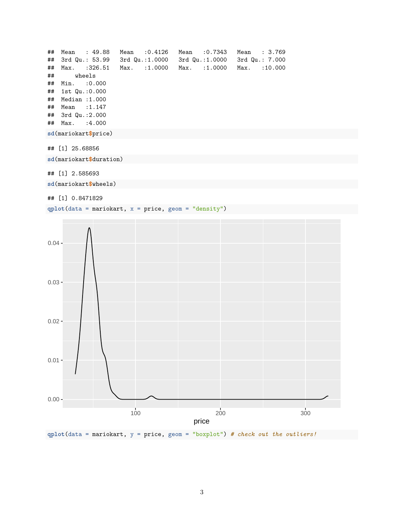```
## Mean : 49.88 Mean :0.4126 Mean :0.7343 Mean : 3.769
## 3rd Qu.: 53.99 3rd Qu.:1.0000 3rd Qu.:1.0000 3rd Qu.: 7.000
## Max. :326.51 Max. :1.0000 Max. :1.0000 Max. :10.000
## wheels
## Min. :0.000
## 1st Qu.:0.000
## Median :1.000
## Mean :1.147
## 3rd Qu.:2.000
## Max. :4.000
sd(mariokart$price)
## [1] 25.68856
sd(mariokart$duration)
```
## [1] 2.585693

**sd**(mariokart**\$**wheels)

## [1] 0.8471829

**qplot**(data = mariokart, x = price, geom = "density")



**qplot**(data = mariokart, y = price, geom = "boxplot") *# check out the outliers!*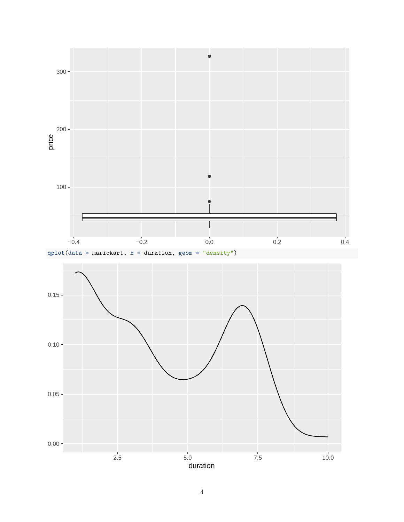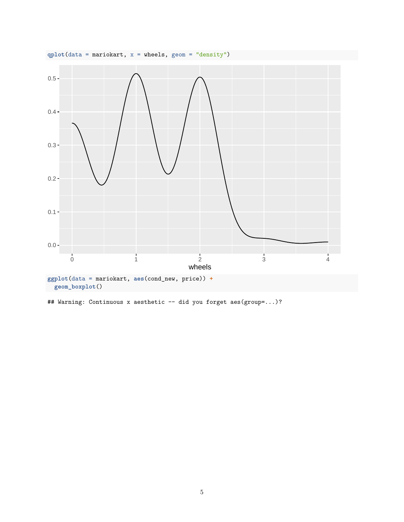

## Warning: Continuous x aesthetic -- did you forget aes(group=...)?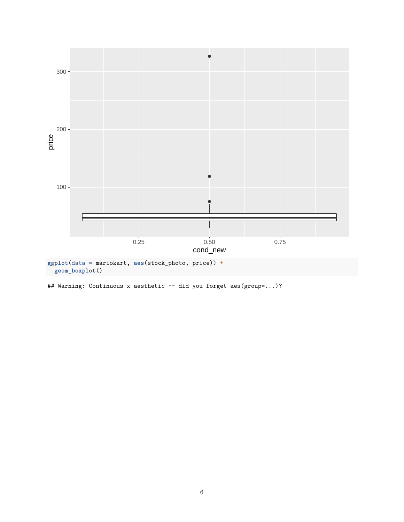

## Warning: Continuous x aesthetic -- did you forget aes(group=...)?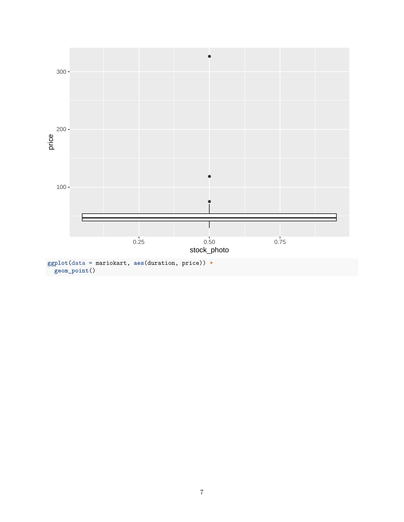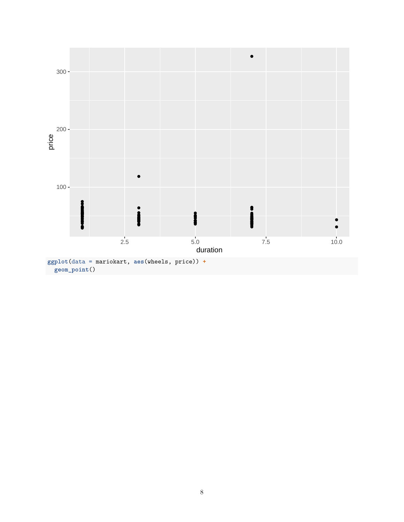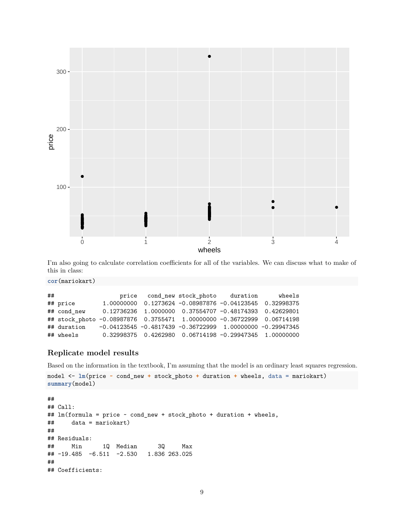

I'm also going to calculate correlation coefficients for all of the variables. We can discuss what to make of this in class:

**cor**(mariokart)

| ## |                                                                        |                                                                   | price cond_new stock_photo duration                            | wheels |
|----|------------------------------------------------------------------------|-------------------------------------------------------------------|----------------------------------------------------------------|--------|
|    | ## price                                                               |                                                                   | 1.00000000  0.1273624  -0.08987876  -0.04123545  0.32998375    |        |
|    | ## cond new                                                            | $0.12736236$ $1.0000000$ $0.37554707$ -0. $48174393$ $0.42629801$ |                                                                |        |
|    | ## stock_photo -0.08987876 0.3755471 1.00000000 -0.36722999 0.06714198 |                                                                   |                                                                |        |
|    | ## duration                                                            | $-0.04123545 -0.4817439 -0.36722999$ 1.00000000 $-0.29947345$     |                                                                |        |
|    | ## wheels                                                              |                                                                   | $0.32998375$ $0.4262980$ $0.06714198$ $-0.29947345$ 1.00000000 |        |

### <span id="page-8-0"></span>**Replicate model results**

Based on the information in the textbook, I'm assuming that the model is an ordinary least squares regression.

```
model <- lm(price ~ cond_new + stock_photo + duration + wheels, data = mariokart)
summary(model)
```

```
##
## Call:
## lm(formula = price ~ cond_new + stock_photo + duration + wheels,
## data = mariokart)
##
## Residuals:
## Min 1Q Median 3Q Max
## -19.485 -6.511 -2.530 1.836 263.025
##
## Coefficients:
```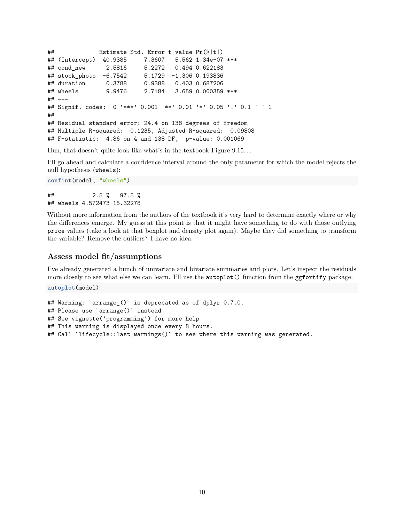```
## Estimate Std. Error t value Pr(>|t|)
## (Intercept) 40.9385 7.3607 5.562 1.34e-07 ***
## cond_new 2.5816 5.2272 0.494 0.622183
## stock_photo -6.7542 5.1729 -1.306 0.193836
## duration 0.3788 0.9388 0.403 0.687206
## wheels 9.9476 2.7184 3.659 0.000359 ***
## ---
## Signif. codes: 0 '***' 0.001 '**' 0.01 '*' 0.05 '.' 0.1 ' ' 1
##
## Residual standard error: 24.4 on 138 degrees of freedom
## Multiple R-squared: 0.1235, Adjusted R-squared: 0.09808
## F-statistic: 4.86 on 4 and 138 DF, p-value: 0.001069
```
Huh, that doesn't quite look like what's in the textbook Figure 9.15. . .

I'll go ahead and calculate a confidence interval around the only parameter for which the model rejects the null hypothesis (wheels):

```
confint(model, "wheels")
## 2.5 % 97.5 %
```
## wheels 4.572473 15.32278

Without more information from the authors of the textbook it's very hard to determine exactly where or why the differences emerge. My guess at this point is that it might have something to do with those outlying price values (take a look at that boxplot and density plot again). Maybe they did something to transform the variable? Remove the outliers? I have no idea.

#### <span id="page-9-0"></span>**Assess model fit/assumptions**

I've already generated a bunch of univariate and bivariate summaries and plots. Let's inspect the residuals more closely to see what else we can learn. I'll use the autoplot() function from the ggfortify package.

**autoplot**(model)

```
## Warning: `arrange_()` is deprecated as of dplyr 0.7.0.
## Please use `arrange()` instead.
## See vignette('programming') for more help
## This warning is displayed once every 8 hours.
## Call `lifecycle::last_warnings()` to see where this warning was generated.
```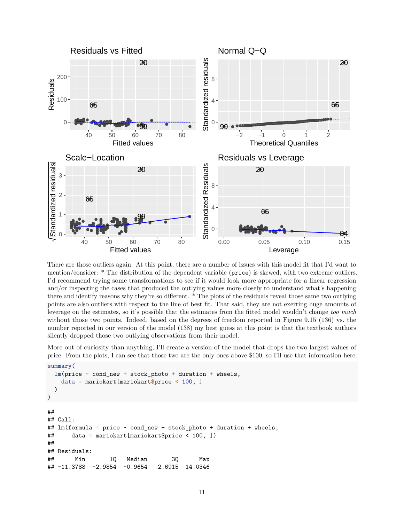

There are those outliers again. At this point, there are a number of issues with this model fit that I'd want to mention/consider: \* The distribution of the dependent variable (price) is skewed, with two extreme outliers. I'd recommend trying some transformations to see if it would look more appropriate for a linear regression and/or inspecting the cases that produced the outlying values more closely to understand what's happening there and identify reasons why they're so different. \* The plots of the residuals reveal those same two outlying points are also outliers with respect to the line of best fit. That said, they are not exerting huge amounts of leverage on the estimates, so it's possible that the estimates from the fitted model wouldn't change *too much* without those two points. Indeed, based on the degrees of freedom reported in Figure 9.15 (136) vs. the number reported in our version of the model (138) my best guess at this point is that the textbook authors silently dropped those two outlying observations from their model.

More out of curiosity than anything, I'll create a version of the model that drops the two largest values of price. From the plots, I can see that those two are the only ones above \$100, so I'll use that information here:

```
summary(
 lm(price ~ cond_new + stock_photo + duration + wheels,
   data = mariokart[mariokart$price < 100, ]
 )
)
##
## Call:
## lm(formula = price ~ cond_new + stock_photo + duration + wheels,
## data = mariokart[mariokart$price < 100, ])
##
## Residuals:
## Min 1Q Median 3Q Max
## -11.3788 -2.9854 -0.9654 2.6915 14.0346
```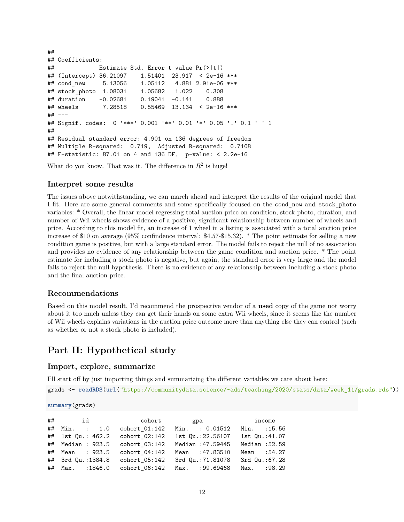```
##
## Coefficients:
## Estimate Std. Error t value Pr(>|t|)
## (Intercept) 36.21097 1.51401 23.917 < 2e-16 ***
## cond new 5.13056 1.05112 4.881 2.91e-06 ***
## stock_photo 1.08031 1.05682 1.022 0.308
## duration -0.02681 0.19041 -0.141 0.888
## wheels 7.28518 0.55469 13.134 < 2e-16 ***
## ---
## Signif. codes: 0 '***' 0.001 '**' 0.01 '*' 0.05 '.' 0.1 ' ' 1
##
## Residual standard error: 4.901 on 136 degrees of freedom
## Multiple R-squared: 0.719, Adjusted R-squared: 0.7108
## F-statistic: 87.01 on 4 and 136 DF, p-value: < 2.2e-16
```
What do you know. That was it. The difference in  $R^2$  is huge!

#### <span id="page-11-0"></span>**Interpret some results**

The issues above notwithstanding, we can march ahead and interpret the results of the original model that I fit. Here are some general comments and some specifically focused on the cond\_new and stock\_photo variables: \* Overall, the linear model regressing total auction price on condition, stock photo, duration, and number of Wii wheels shows evidence of a positive, significant relationship between number of wheels and price. According to this model fit, an increase of 1 wheel in a listing is associated with a total auction price increase of \$10 on average (95% confindence interval: \$4.57-\$15.32). \* The point estimate for selling a new condition game is positive, but with a large standard error. The model fails to reject the null of no association and provides no evidence of any relationship between the game condition and auction price. \* The point estimate for including a stock photo is negative, but again, the standard error is very large and the model fails to reject the null hypothesis. There is no evidence of any relationship between including a stock photo and the final auction price.

#### <span id="page-11-1"></span>**Recommendations**

Based on this model result, I'd recommend the prospective vendor of a **used** copy of the game not worry about it too much unless they can get their hands on some extra Wii wheels, since it seems like the number of Wii wheels explains variations in the auction price outcome more than anything else they can control (such as whether or not a stock photo is included).

## <span id="page-11-2"></span>**Part II: Hypothetical study**

#### <span id="page-11-3"></span>**Import, explore, summarize**

I'll start off by just importing things and summarizing the different variables we care about here:

grads <- **readRDS**(**url**("https://communitydata.science/~ads/teaching/2020/stats/data/week\_11/grads.rds"))

**summary**(grads)

|                                 |                 | ## id cohort gpa income       |                |
|---------------------------------|-----------------|-------------------------------|----------------|
| ## Min. : 1.0 cohort_01:142     |                 | Min. : 0.01512                | Min. : 15.56   |
| ## 1st Qu.: 462.2               | $cohort$ 02:142 | 1st Qu.:22.56107              | 1st Qu.:41.07  |
| ## Median : 923.5 cohort 03:142 |                 | Median :47.59445              | Median: 52.59  |
| ## Mean : 923.5                 | cohort 04:142   | Mean : 47.83510               | Mean : 54.27   |
| ## 3rd Qu.:1384.8               | $cohort$ 05:142 | 3rd Qu.:71.81078              | 3rd Qu.: 67.28 |
| ## Max. : 1846.0                |                 | cohort 06:142 Max. : 99.69468 | Max. : 98.29   |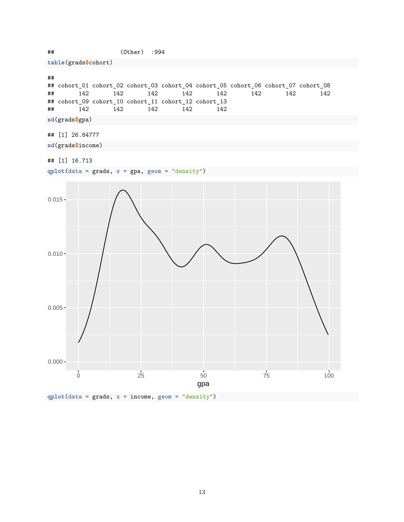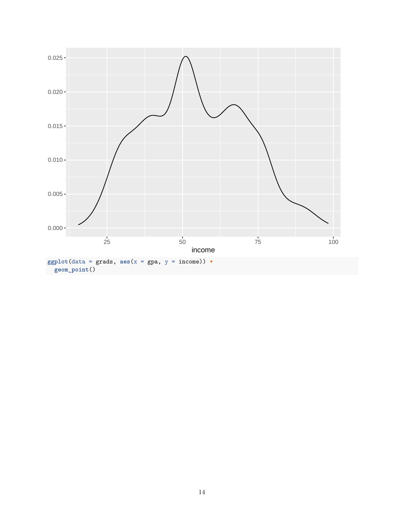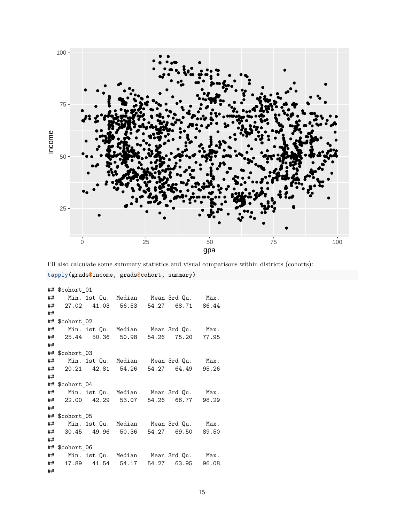

I'll also calculate some summary statistics and visual comparisons within districts (cohorts):

```
tapply(grads$income, grads$cohort, summary)
```

```
## $cohort_01
## Min. 1st Qu. Median Mean 3rd Qu. Max.
## 27.02 41.03 56.53 54.27 68.71 86.44
##
## $cohort_02
## Min. 1st Qu. Median Mean 3rd Qu. Max.
## 25.44 50.36 50.98 54.26 75.20 77.95
##
## $cohort 03
## Min. 1st Qu. Median Mean 3rd Qu. Max.
## 20.21 42.81 54.26 54.27 64.49 95.26
##
## $cohort_04
## Min. 1st Qu. Median Mean 3rd Qu. Max.
## 22.00 42.29 53.07 54.26 66.77 98.29
##
## $cohort_05
## Min. 1st Qu. Median Mean 3rd Qu. Max.
## 30.45 49.96 50.36 54.27 69.50 89.50
##
## $cohort_06
## Min. 1st Qu. Median Mean 3rd Qu. Max.
## 17.89 41.54 54.17 54.27 63.95 96.08
##
```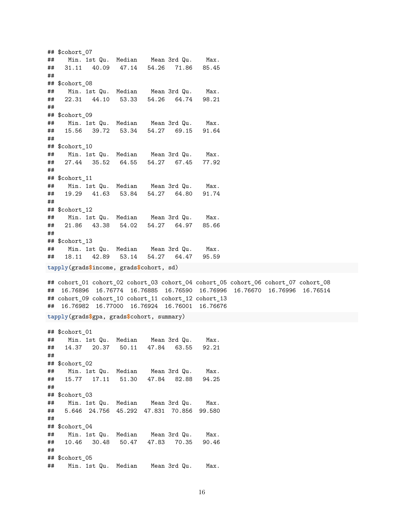## \$cohort 07 ## Min. 1st Qu. Median Mean 3rd Qu. Max. ## 31.11 40.09 47.14 54.26 71.86 85.45 ## ## \$cohort 08 ## Min. 1st Qu. Median Mean 3rd Qu. Max. ## 22.31 44.10 53.33 54.26 64.74 98.21 ## ## \$cohort 09 ## Min. 1st Qu. Median Mean 3rd Qu. Max. ## 15.56 39.72 53.34 54.27 69.15 91.64 ## ## \$cohort\_10 ## Min. 1st Qu. Median Mean 3rd Qu. Max. ## 27.44 35.52 64.55 54.27 67.45 77.92 ## ## \$cohort\_11 ## Min. 1st Qu. Median Mean 3rd Qu. Max. ## 19.29 41.63 53.84 54.27 64.80 91.74 ## ## \$cohort\_12 ## Min. 1st Qu. Median Mean 3rd Qu. Max. ## 21.86 43.38 54.02 54.27 64.97 85.66 ## ## \$cohort\_13 ## Min. 1st Qu. Median Mean 3rd Qu. Max. ## 18.11 42.89 53.14 54.27 64.47 **tapply**(grads**\$**income, grads**\$**cohort, sd) ## cohort\_01 cohort\_02 cohort\_03 cohort\_04 cohort\_05 cohort\_06 cohort\_07 cohort\_08 ## 16.76896 16.76774 16.76885 16.76590 16.76996 16.76670 16.76996 16.76514 ## cohort\_09 cohort\_10 cohort\_11 cohort\_12 cohort\_13 ## 16.76982 16.77000 16.76924 16.76001 16.76676 **tapply**(grads**\$**gpa, grads**\$**cohort, summary) ## \$cohort\_01 ## Min. 1st Qu. Median Mean 3rd Qu. Max. ## 14.37 20.37 50.11 47.84 63.55 92.21 ## ## \$cohort\_02 ## Min. 1st Qu. Median Mean 3rd Qu. Max. ## 15.77 17.11 51.30 47.84 82.88 94.25 ## ## \$cohort 03 ## Min. 1st Qu. Median Mean 3rd Qu. Max. ## 5.646 24.756 45.292 47.831 70.856 99.580 ## ## \$cohort\_04 ## Min. 1st Qu. Median Mean 3rd Qu. Max. ## 10.46 30.48 50.47 47.83 70.35 90.46 ## ## \$cohort\_05 ## Min. 1st Qu. Median Mean 3rd Qu. Max.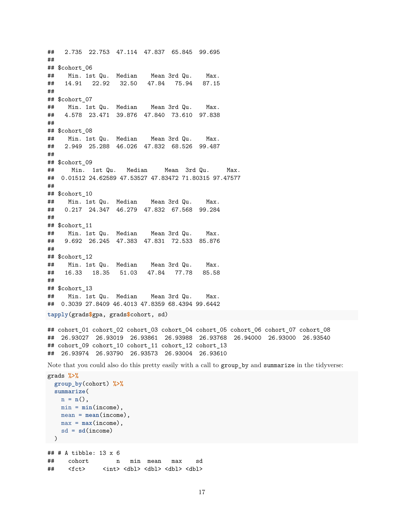## 2.735 22.753 47.114 47.837 65.845 99.695 ## ## \$cohort\_06 ## Min. 1st Qu. Median Mean 3rd Qu. Max. ## 14.91 22.92 32.50 47.84 75.94 87.15 ## ## \$cohort\_07 ## Min. 1st Qu. Median Mean 3rd Qu. Max. ## 4.578 23.471 39.876 47.840 73.610 97.838 ## ## \$cohort\_08 ## Min. 1st Qu. Median Mean 3rd Qu. Max. ## 2.949 25.288 46.026 47.832 68.526 99.487 ## ## \$cohort 09 ## Min. 1st Qu. Median Mean 3rd Qu. Max. ## 0.01512 24.62589 47.53527 47.83472 71.80315 97.47577 ## ## \$cohort\_10 ## Min. 1st Qu. Median Mean 3rd Qu. Max. ## 0.217 24.347 46.279 47.832 67.568 99.284 ## ## \$cohort\_11 ## Min. 1st Qu. Median Mean 3rd Qu. Max. ## 9.692 26.245 47.383 47.831 72.533 85.876 ## ## \$cohort\_12 ## Min. 1st Qu. Median Mean 3rd Qu. Max. ## 16.33 18.35 51.03 47.84 77.78 85.58 ## ## \$cohort\_13 ## Min. 1st Qu. Median Mean 3rd Qu. Max. ## 0.3039 27.8409 46.4013 47.8359 68.4394 99.6442 **tapply**(grads**\$**gpa, grads**\$**cohort, sd) ## cohort\_01 cohort\_02 cohort\_03 cohort\_04 cohort\_05 cohort\_06 cohort\_07 cohort\_08 ## 26.93027 26.93019 26.93861 26.93988 26.93768 26.94000 26.93000 26.93540 ## cohort\_09 cohort\_10 cohort\_11 cohort\_12 cohort\_13 ## 26.93974 26.93790 26.93573 26.93004 26.93610 Note that you could also do this pretty easily with a call to group\_by and summarize in the tidyverse:

```
grads %>%
 group_by(cohort) %>%
 summarize(
   n = n(),
   min = min(income),
   mean = mean(income),
   max = max(income),sd = sd(income)
)
## # A tibble: 13 x 6
## cohort n min mean max sd
## <fct> <int> <dbl> <dbl> <dbl> <dbl>
```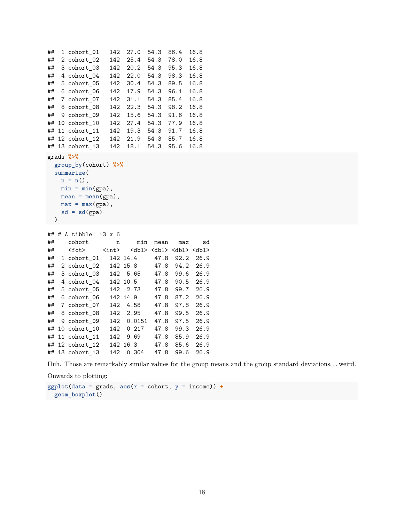```
## 1 cohort_01 142 27.0 54.3 86.4 16.8
## 2 cohort_02 142 25.4 54.3 78.0 16.8
## 3 cohort 03 142 20.2 54.3 95.3 16.8
## 4 cohort_04 142 22.0 54.3 98.3 16.8
## 5 cohort_05 142 30.4 54.3 89.5 16.8
## 6 cohort_06 142 17.9 54.3 96.1 16.8
## 7 cohort 07 142 31.1 54.3 85.4 16.8
## 8 cohort_08 142 22.3 54.3 98.2 16.8
## 9 cohort_09 142 15.6 54.3 91.6 16.8
## 10 cohort_10 142 27.4 54.3 77.9 16.8
## 11 cohort_11 142 19.3 54.3 91.7 16.8
## 12 cohort_12 142 21.9 54.3 85.7 16.8
## 13 cohort_13 142 18.1 54.3 95.6 16.8
grads %>%
 group_by(cohort) %>%
 summarize(
   n = n(),
   min = min(gpa),
   mean = mean(gpa),
   max = max(gpa),
   sd = sd(gpa)\rightarrow## # A tibble: 13 x 6
## cohort n min mean max sd
## <fct> <int> <dbl> <dbl> <dbl> <dbl>
## 1 cohort_01 142 14.4 47.8 92.2 26.9
## 2 cohort_02 142 15.8 47.8 94.2 26.9
## 3 cohort_03 142 5.65 47.8 99.6 26.9
## 4 cohort_04 142 10.5 47.8 90.5 26.9
## 5 cohort_05 142 2.73 47.8 99.7 26.9
## 6 cohort_06 142 14.9 47.8 87.2 26.9
## 7 cohort_07 142 4.58 47.8 97.8 26.9
## 8 cohort_08 142 2.95 47.8 99.5 26.9
## 9 cohort_09 142 0.0151 47.8 97.5 26.9
## 10 cohort 10 142 0.217 47.8 99.3 26.9
## 11 cohort_11 142 9.69 47.8 85.9 26.9
## 12 cohort_12 142 16.3 47.8 85.6 26.9
## 13 cohort_13 142 0.304 47.8 99.6 26.9
```
Huh. Those are remarkably similar values for the group means and the group standard deviations. . . weird.

Onwards to plotting:

**ggplot**(data = grads, **aes**(x = cohort, y = income)) **+ geom\_boxplot**()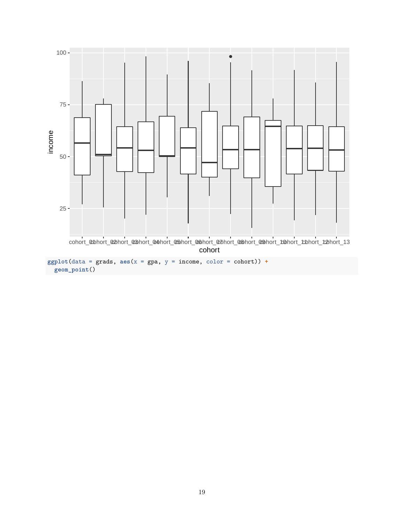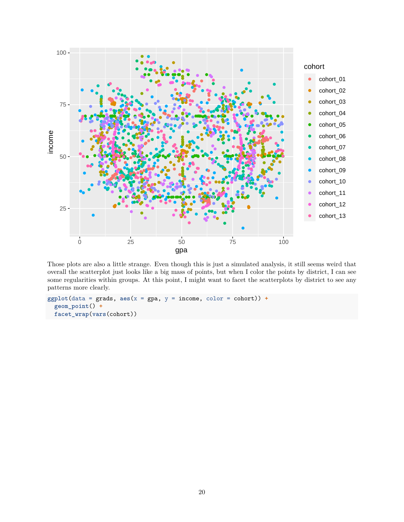

Those plots are also a little strange. Even though this is just a simulated analysis, it still seems weird that overall the scatterplot just looks like a big mass of points, but when I color the points by district, I can see some regularities within groups. At this point, I might want to facet the scatterplots by district to see any patterns more clearly.

```
ggplot(data = grads, aes(x = gpa, y = income, color = cohort)) +geom_point() +
 facet_wrap(vars(cohort))
```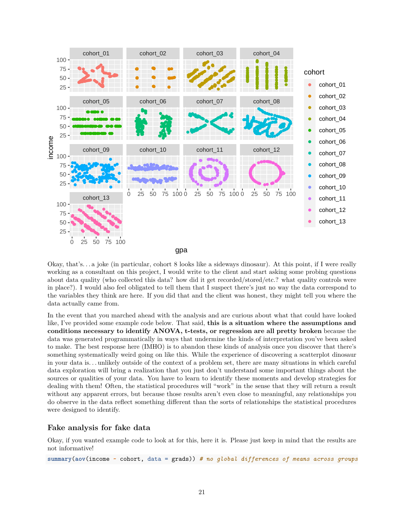

gpa

Okay, that's. . . a joke (in particular, cohort 8 looks like a sideways dinosaur). At this point, if I were really working as a consultant on this project, I would write to the client and start asking some probing questions about data quality (who collected this data? how did it get recorded/stored/etc.? what quality controls were in place?). I would also feel obligated to tell them that I suspect there's just no way the data correspond to the variables they think are here. If you did that and the client was honest, they might tell you [where the](https://www.autodesk.com/research/publications/same-stats-different-graphs) [data actually came from.](https://www.autodesk.com/research/publications/same-stats-different-graphs)

In the event that you marched ahead with the analysis and are curious about what that could have looked like, I've provided some example code below. That said, **this is a situation where the assumptions and conditions necessary to identify ANOVA, t-tests, or regression are all pretty broken** because the data was generated programmatically in ways that undermine the kinds of interpretation you've been asked to make. The best response here (IMHO) is to abandon these kinds of analysis once you discover that there's something systematically weird going on like this. While the experience of discovering a scatterplot dinosaur in your data is. . . unlikely outside of the context of a problem set, there are many situations in which careful data exploration will bring a realization that you just don't understand some important things about the sources or qualities of your data. You have to learn to identify these moments and develop strategies for dealing with them! Often, the statistical procedures will "work" in the sense that they will return a result without any apparent errors, but because those results aren't even close to meaningful, any relationships you do observe in the data reflect something different than the sorts of relationships the statistical procedures were designed to identify.

### <span id="page-20-0"></span>**Fake analysis for fake data**

Okay, if you wanted example code to look at for this, here it is. Please just keep in mind that the results are not informative!

**summary**(**aov**(income **~** cohort, data = grads)) *# no global differences of means across groups*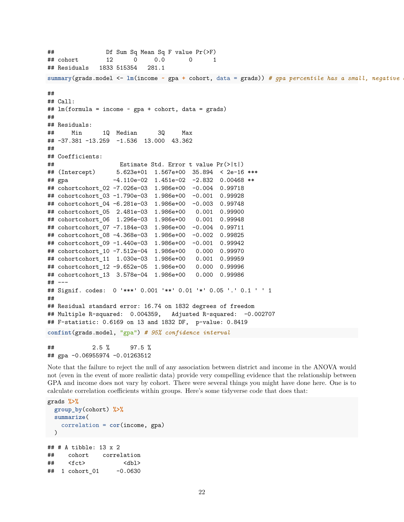```
## Df Sum Sq Mean Sq F value Pr(>F)
## cohort 12 0 0.0 0 1
## Residuals 1833 515354 281.1
summary(grads.model <- lm(income \sim gpa + cohort, data = grads)) # qpa percentile has a small, negative
##
## Call:
## lm(formula = income ~ gpa + cohort, data = grads)
##
## Residuals:
## Min 1Q Median 3Q Max
## -37.381 -13.259 -1.536 13.000 43.362
##
## Coefficients:
## Estimate Std. Error t value Pr(>|t|)
## (Intercept) 5.623e+01 1.567e+00 35.894 < 2e-16 ***
## gpa -4.110e-02 1.451e-02 -2.832 0.00468 **
## cohortcohort_02 -7.026e-03 1.986e+00 -0.004 0.99718
## cohortcohort_03 -1.790e-03 1.986e+00 -0.001 0.99928
## cohortcohort_04 -6.281e-03 1.986e+00 -0.003 0.99748
## cohortcohort_05 2.481e-03 1.986e+00 0.001 0.99900
## cohortcohort_06 1.296e-03 1.986e+00 0.001 0.99948
## cohortcohort_07 -7.184e-03 1.986e+00 -0.004 0.99711
## cohortcohort_08 -4.368e-03 1.986e+00 -0.002 0.99825
## cohortcohort_09 -1.440e-03 1.986e+00 -0.001 0.99942
## cohortcohort_10 -7.512e-04 1.986e+00 0.000 0.99970
## cohortcohort_11 1.030e-03 1.986e+00 0.001 0.99959
## cohortcohort_12 -9.652e-05 1.986e+00 0.000 0.99996
## cohortcohort_13 3.578e-04 1.986e+00 0.000 0.99986
## ---
## Signif. codes: 0 '***' 0.001 '**' 0.01 '*' 0.05 '.' 0.1 ' ' 1
##
## Residual standard error: 16.74 on 1832 degrees of freedom
## Multiple R-squared: 0.004359, Adjusted R-squared: -0.002707
## F-statistic: 0.6169 on 13 and 1832 DF, p-value: 0.8419
confint(grads.model, "gpa") # 95% confidence interval
## 2.5 % 97.5 %
## gpa -0.06955974 -0.01263512
```
Note that the failure to reject the null of any association between district and income in the ANOVA would not (even in the event of more realistic data) provide very compelling evidence that the relationship between GPA and income does not vary by cohort. There were several things you might have done here. One is to calculate correlation coefficients within groups. Here's some tidyverse code that does that:

```
grads %>%
 group_by(cohort) %>%
 summarize(
   correlation = cor(income, gpa)
\rightarrow## # A tibble: 13 x 2
## cohort correlation
## <fct> <dbl>
## 1 cohort_01 -0.0630
```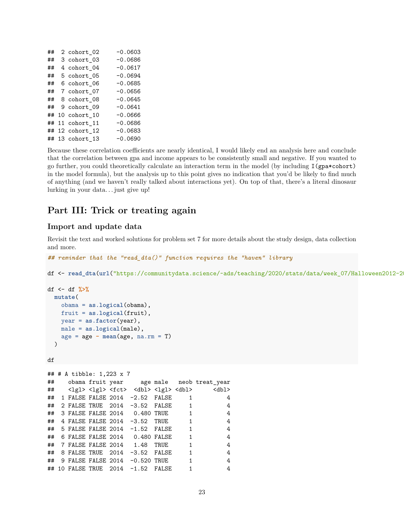| ## | 2 cohort_02     | $-0.0603$ |
|----|-----------------|-----------|
| ## | 3 cohort 03     | $-0.0686$ |
| ## | 4 cohort 04     | $-0.0617$ |
| ## | 5 cohort_05     | $-0.0694$ |
| ## | 6 cohort_06     | $-0.0685$ |
| ## | 7 cohort_07     | $-0.0656$ |
| ## | 8 cohort 08     | $-0.0645$ |
| ## | 9 cohort 09     | $-0.0641$ |
| ## | 10 cohort 10    | $-0.0666$ |
|    | ## 11 cohort 11 | $-0.0686$ |
|    | ## 12 cohort 12 | $-0.0683$ |
|    | ## 13 cohort 13 | $-0.0690$ |

Because these correlation coefficients are nearly identical, I would likely end an analysis here and conclude that the correlation between gpa and income appears to be consistently small and negative. If you wanted to go further, you could theoretically calculate an interaction term in the model (by including I(gpa\*cohort) in the model formula), but the analysis up to this point gives no indication that you'd be likely to find much of anything (and we haven't really talked about interactions yet). On top of that, there's a literal dinosaur lurking in your data. . . just give up!

## <span id="page-22-0"></span>**Part III: Trick or treating again**

### <span id="page-22-1"></span>**Import and update data**

Revisit the text and worked solutions for problem set 7 for more details about the study design, data collection and more.

```
## reminder that the "read_dta()" function requires the "haven" library
```
df <- read\_dta(url("https://communitydata.science/~ads/teaching/2020/stats/data/week\_07/Halloween2012-2

```
df <- df %>%
 mutate(
    obama = as.logical(obama),
    fruit = as.logical(fruit),
    year = as.factor(year),
    male = as.logical(male),
    age = age - mean(age, na.rm = T)
  )
```

```
df
```

```
## # A tibble: 1,223 x 7
## obama fruit year age male neob treat_year
## <lgl> <lgl> <fct> <dbl> <lgl> <dbl> <dbl>
## 1 FALSE FALSE 2014 -2.52 FALSE 1 4
## 2 FALSE TRUE 2014 -3.52 FALSE 1 4
## 3 FALSE FALSE 2014 0.480 TRUE 1 4
## 4 FALSE FALSE 2014 -3.52 TRUE 1 4
## 5 FALSE FALSE 2014 -1.52 FALSE 1 4
## 6 FALSE FALSE 2014 0.480 FALSE 1 4
## 7 FALSE FALSE 2014 1.48 TRUE 1 4
## 8 FALSE TRUE 2014 -3.52 FALSE 1 4
## 9 FALSE FALSE 2014 -0.520 TRUE 1 4
## 10 FALSE TRUE 2014 -1.52 FALSE 1 4
```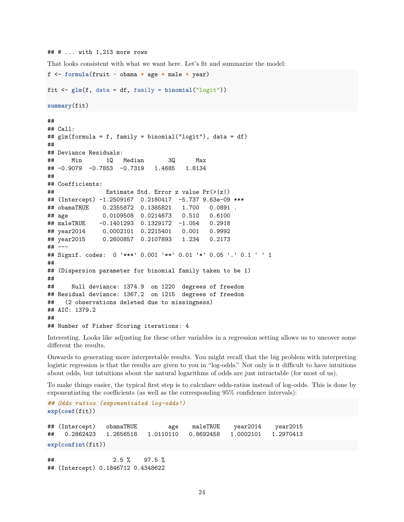```
## # ... with 1,213 more rows
```
That looks consistent with what we want here. Let's fit and summarize the model:

```
f <- formula(fruit ~ obama + age + male + year)
fit <- glm(f, data = df, family = binomial("logit"))
summary(fit)
##
## Call:
## glm(formula = f, family = binomial("logit"), data = df)
##
## Deviance Residuals:
## Min 1Q Median 3Q Max
## -0.9079 -0.7853 -0.7319 1.4685 1.8134
##
## Coefficients:
## Estimate Std. Error z value Pr(>|z|)
## (Intercept) -1.2509167 0.2180417 -5.737 9.63e-09 ***
## obamaTRUE 0.2355872 0.1385821 1.700 0.0891 .
## age 0.0109508 0.0214673 0.510 0.6100
## maleTRUE -0.1401293 0.1329172 -1.054 0.2918
## year2014 0.0002101 0.2215401 0.001 0.9992
## year2015 0.2600857 0.2107893 1.234 0.2173
## ---
## Signif. codes: 0 '***' 0.001 '**' 0.01 '*' 0.05 '.' 0.1 ' ' 1
##
## (Dispersion parameter for binomial family taken to be 1)
##
## Null deviance: 1374.9 on 1220 degrees of freedom
## Residual deviance: 1367.2 on 1215 degrees of freedom
## (2 observations deleted due to missingness)
## AIC: 1379.2
##
## Number of Fisher Scoring iterations: 4
```
Interesting. Looks like adjusting for these other variables in a regression setting allows us to uncover some different the results.

Onwards to generating more interpretable results. You might recall that the big problem with interpreting logistic regression is that the results are given to you in "log-odds." Not only is it difficult to have intuitions about odds, but intuitions about the natural logarithms of odds are just intractable (for most of us).

To make things easier, the typical first step is to calculare odds-ratios instead of log-odds. This is done by exponentiating the coefficients (as well as the corresponding 95% confidence intervals):

```
## Odds ratios (exponentiated log-odds!)
exp(coef(fit))
## (Intercept) obamaTRUE age maleTRUE year2014 year2015
## 0.2862423 1.2656518 1.0110110 0.8692458 1.0002101 1.2970413
exp(confint(fit))
## 2.5 % 97.5 %
## (Intercept) 0.1846712 0.4348622
```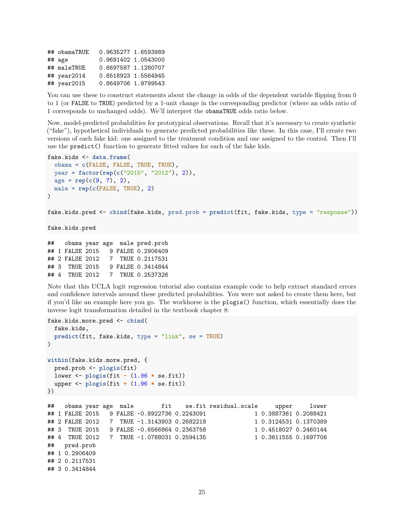## obamaTRUE 0.9635277 1.6593989 ## age 0.9691402 1.0543000 ## maleTRUE 0.6697587 1.1280707 ## year2014 0.6518923 1.5564945 ## year2015 0.8649706 1.9799543

## 4 TRUE 2012 7 TRUE 0.2537326

You can use these to construct statements about the change in odds of the dependent variable flipping from 0 to 1 (or FALSE to TRUE) predicted by a 1-unit change in the corresponding predictor (where an odds ratio of 1 corresponds to unchanged odds). We'll interpret the obamaTRUE odds ratio below.

Now, model-predicted probabilities for prototypical observations. Recall that it's necessary to create synthetic ("fake"), hypothetical individuals to generate predicted probabilities like these. In this case, I'll create two versions of each fake kid: one assigned to the treatment condition and one assigned to the control. Then I'll use the predict() function to generate fitted values for each of the fake kids.

```
fake.kids <- data.frame(
  obama = c(FALSE, FALSE, TRUE, TRUE),
  year = factor(rep(c("2015", "2012"), 2)),
  age = rep(c(9, 7), 2),
 male = rep(c(FALSE, TRUE), 2)
\lambdafake.kids.pred <- cbind(fake.kids, pred.prob = predict(fit, fake.kids, type = "response"))
fake.kids.pred
## obama year age male pred.prob
## 1 FALSE 2015 9 FALSE 0.2906409
## 2 FALSE 2012 7 TRUE 0.2117531
## 3 TRUE 2015 9 FALSE 0.3414844
```
Note that [this UCLA logit regression tutorial](https://stats.idre.ucla.edu/r/dae/logit-regression/) also contains example code to help extract standard errors and confidence intervals around these predicted probabilities. You were not asked to create them here, but if you'd like an example here you go. The workhorse is the plogis() function, which essentially does the inverse logit transformation detailed in the textbook chapter 8:

```
fake.kids.more.pred <- cbind(
 fake.kids,
 predict(fit, fake.kids, type = "link", se = TRUE)
)
within(fake.kids.more.pred, {
 pred.prob <- plogis(fit)
 lower <- plogis(fit - (1.96 * se.fit))
 upper <- plogis(fit + (1.96 * se.fit))
})
## obama year age male fit se.fit residual.scale upper lower
## 1 FALSE 2015 9 FALSE -0.8922736 0.2243091 1 0.3887361 0.2088421
## 2 FALSE 2012 7 TRUE -1.3143903 0.2682218 1 0.3124531 0.1370389
## 3 TRUE 2015 9 FALSE -0.6566864 0.2363758 1 0.4518027 0.2460144
## 4 TRUE 2012 7 TRUE -1.0788031 0.2594135 1 0.3611555 0.1697706
## pred.prob
## 1 0.2906409
## 2 0.2117531
## 3 0.3414844
```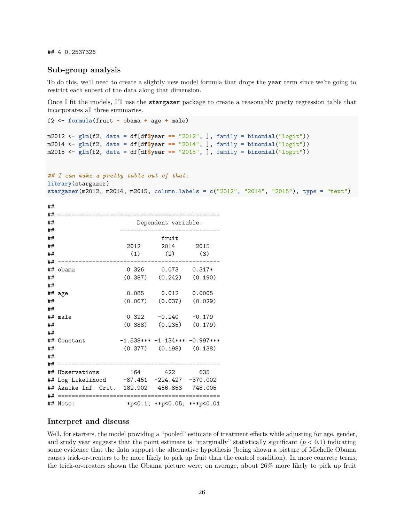## 4 0.2537326

#### <span id="page-25-0"></span>**Sub-group analysis**

To do this, we'll need to create a slightly new model formula that drops the year term since we're going to restrict each subset of the data along that dimension.

Once I fit the models, I'll use the stargazer package to create a reasonably pretty regression table that incorporates all three summaries.

```
f2 <- formula(fruit ~ obama + age + male)
m2012 <- glm(f2, data = df[df$year == "2012", ], family = binomial("logit"))
m2014 \leftarrow glm(f2, data = df[df\{year = "2014", }, family = binomial("logit"))
m2015 <- glm(f2, data = df[df$year == "2015", ], family = binomial("logit"))
```
#### *## I can make a pretty table out of that:* **library**(stargazer)

**stargazer**(m2012, m2014, m2015, column.labels = **c**("2012", "2014", "2015"), type = "text")

| ## |                                           |       |                                    |          |  |  |  |
|----|-------------------------------------------|-------|------------------------------------|----------|--|--|--|
| ## |                                           |       |                                    |          |  |  |  |
| ## | Dependent variable:                       |       |                                    |          |  |  |  |
| ## |                                           |       |                                    |          |  |  |  |
| ## |                                           |       | fruit                              |          |  |  |  |
| ## |                                           | 2012  | 2014                               | 2015     |  |  |  |
| ## |                                           | (1)   | (2)                                | (3)      |  |  |  |
| ## |                                           |       |                                    |          |  |  |  |
| ## | obama                                     | 0.326 | 0.073                              | $0.317*$ |  |  |  |
| ## |                                           |       | $(0.387)$ $(0.242)$                | (0.190)  |  |  |  |
| ## |                                           |       |                                    |          |  |  |  |
|    | ## age                                    | 0.085 | 0.012                              | 0.0005   |  |  |  |
| ## |                                           |       | $(0.067)$ $(0.037)$                | (0.029)  |  |  |  |
| ## |                                           |       |                                    |          |  |  |  |
|    | ## male                                   | 0.322 | $-0.240$                           | $-0.179$ |  |  |  |
| ## |                                           |       | $(0.388)$ $(0.235)$                | (0.179)  |  |  |  |
| ## |                                           |       |                                    |          |  |  |  |
| ## | Constant                                  |       | $-1.538*** -1.134*** -0.997***$    |          |  |  |  |
| ## |                                           |       | $(0.377)$ $(0.198)$ $(0.138)$      |          |  |  |  |
| ## |                                           |       |                                    |          |  |  |  |
| ## |                                           |       |                                    |          |  |  |  |
| ## | Observations                              | 164   | 422                                | 635      |  |  |  |
| ## | Log Likelihood -87.451 -224.427 -370.002  |       |                                    |          |  |  |  |
| ## | Akaike Inf. Crit. 182.902 456.853 748.005 |       |                                    |          |  |  |  |
| ## | ====================                      |       |                                    |          |  |  |  |
|    | ## Note:                                  |       | $*p<0.1$ ; $**p<0.05$ ; $**p<0.01$ |          |  |  |  |

#### <span id="page-25-1"></span>**Interpret and discuss**

Well, for starters, the model providing a "pooled" estimate of treatment effects while adjusting for age, gender, and study year suggests that the point estimate is "marginally" statistically significant  $(p < 0.1)$  indicating some evidence that the data support the alternative hypothesis (being shown a picture of Michelle Obama causes trick-or-treaters to be more likely to pick up fruit than the control condition). In more concrete terms, the trick-or-treaters shown the Obama picture were, on average, about 26% more likely to pick up fruit